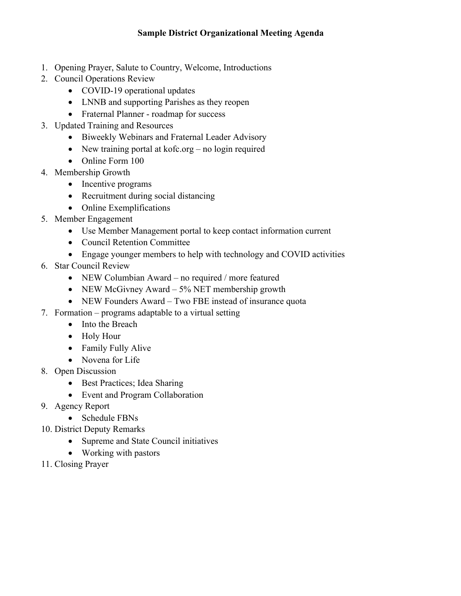- 1. Opening Prayer, Salute to Country, Welcome, Introductions
- 2. Council Operations Review
	- COVID-19 operational updates
	- LNNB and supporting Parishes as they reopen
	- Fraternal Planner roadmap for success
- 3. Updated Training and Resources
	- Biweekly Webinars and Fraternal Leader Advisory
	- New training portal at kofc.org no login required
	- Online Form 100
- 4. Membership Growth
	- Incentive programs
	- Recruitment during social distancing
	- Online Exemplifications
- 5. Member Engagement
	- Use Member Management portal to keep contact information current
	- Council Retention Committee
	- Engage younger members to help with technology and COVID activities
- 6. Star Council Review
	- NEW Columbian Award no required / more featured
	- NEW McGivney Award 5% NET membership growth
	- NEW Founders Award Two FBE instead of insurance quota
- 7. Formation programs adaptable to a virtual setting
	- Into the Breach
	- Holy Hour
	- Family Fully Alive
	- Novena for Life
- 8. Open Discussion
	- Best Practices; Idea Sharing
	- Event and Program Collaboration
- 9. Agency Report
	- Schedule FBNs
- 10. District Deputy Remarks
	- Supreme and State Council initiatives
	- Working with pastors
- 11. Closing Prayer